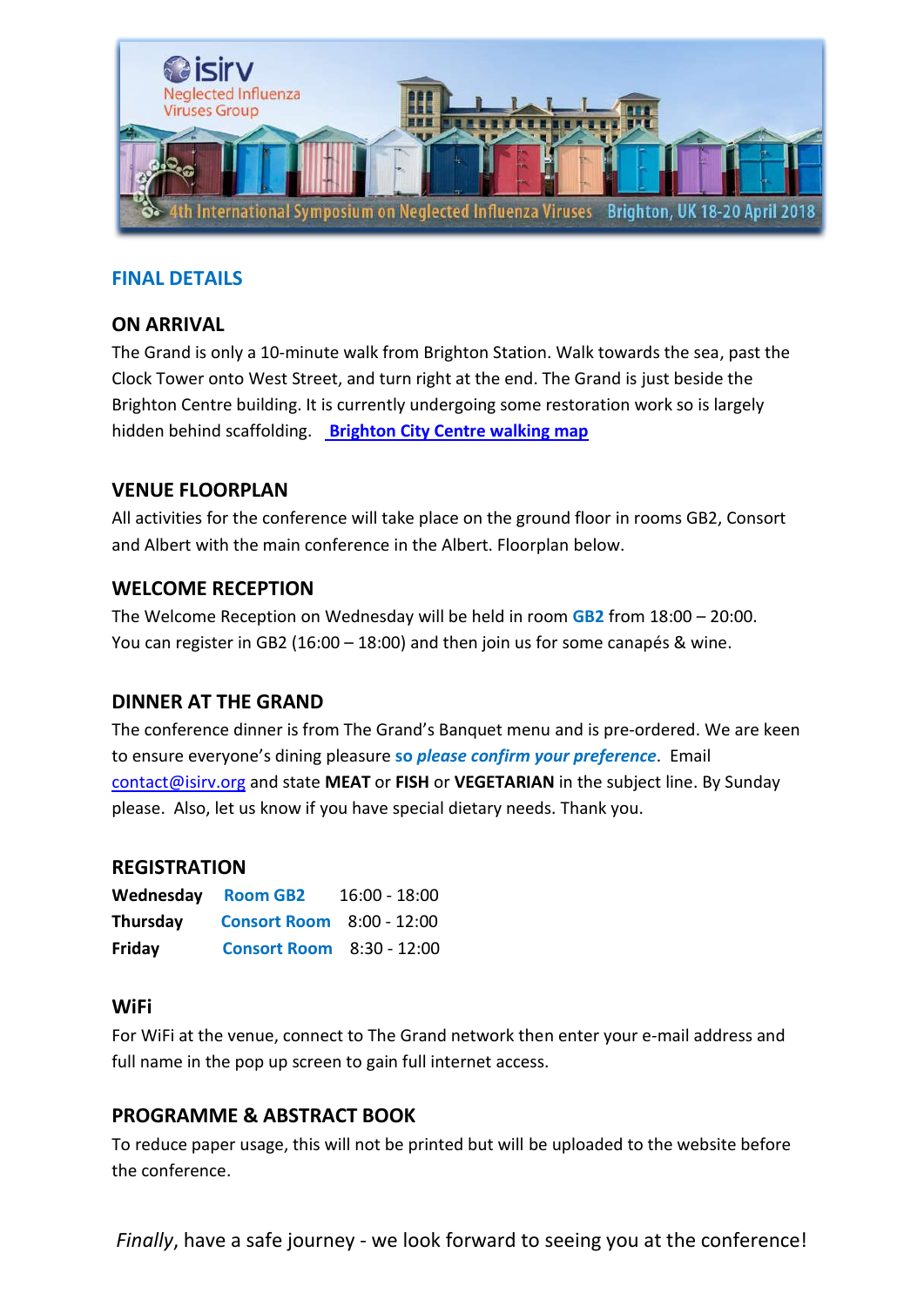

# **FINAL DETAILS**

### **ON ARRIVAL**

The Grand is only a 10-minute walk from Brighton Station. Walk towards the sea, past the Clock Tower onto West Street, and turn right at the end. The Grand is just beside the Brighton Centre building. It is currently undergoing some restoration work so is largely hidden behind scaffolding. **[Brighton City Centre walking map](https://www.visitbrighton.com/dbimgs/11431%20Brighton_citycentre_walking_map2017.pdf)**

## **VENUE FLOORPLAN**

All activities for the conference will take place on the ground floor in rooms GB2, Consort and Albert with the main conference in the Albert. Floorplan below.

### **WELCOME RECEPTION**

The Welcome Reception on Wednesday will be held in room **GB2** from 18:00 – 20:00. You can register in GB2 (16:00 – 18:00) and then join us for some canapés & wine.

### **DINNER AT THE GRAND**

The conference dinner is from The Grand's Banquet menu and is pre-ordered. We are keen to ensure everyone's dining pleasure **so** *please confirm your preference*. Email [contact@isirv.org](mailto:contact@isirv.org) and state **MEAT** or **FISH** or **VEGETARIAN** in the subject line. By Sunday please. Also, let us know if you have special dietary needs. Thank you.

#### **REGISTRATION**

| Wednesday | <b>Room GB2</b>                  | $16:00 - 18:00$ |
|-----------|----------------------------------|-----------------|
| Thursday  | <b>Consort Room</b> 8:00 - 12:00 |                 |
| Friday    | <b>Consort Room</b> 8:30 - 12:00 |                 |

#### **WiFi**

For WiFi at the venue, connect to The Grand network then enter your e-mail address and full name in the pop up screen to gain full internet access.

### **PROGRAMME & ABSTRACT BOOK**

To reduce paper usage, this will not be printed but will be uploaded to the website before the conference.